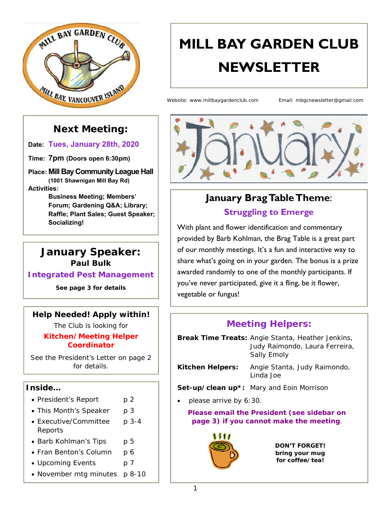

# **MILL BAY GARDEN CLUB NEWSLETTER**

Website: www.millbaygardenclub.com Email: mbgcnewsletter@gmail.com

### **Next Meeting:**

**Date: Tues, January 28th, 2020**

**Time: 7pm (Doors open 6:30pm)** 

**Place: Mill Bay Community League Hall (1001 Shawnigan Mill Bay Rd)** 

**Activities:** 

**Business Meeting; Members' Forum; Gardening Q&A; Library; Raffle; Plant Sales; Guest Speaker; Socializing!**

#### **January Speaker: Paul Bulk**

**Integrated Pest Management** 

*See page 3 for details* 

#### **Help Needed! Apply within!**

The Club is looking for *Kitchen/Meeting Helper Coordinator*

See the President's Letter on page 2 for details.

#### **Inside…**

- President's Report p 2
- This Month's Speaker p 3
- Executive/Committee p 3-4 Reports
- Barb Kohlman's Tips p 5
- Fran Benton's Column p 6
- Upcoming Events p 7
- November mtg minutes p 8-10



# **January Brag Table Theme**:

**Struggling to Emerge** 

With plant and flower identification and commentary provided by Barb Kohlman, the Brag Table is a great part of our monthly meetings. It's a fun and interactive way to share what's going on in your garden. The bonus is a prize awarded randomly to one of the monthly participants. If you've never participated, give it a fling, be it flower, vegetable or fungus!

#### **Meeting Helpers:**

**Break Time Treats:** Angie Stanta, Heather Jenkins, Judy Raimondo, Laura Ferreira, Sally Emoly

**Kitchen Helpers:** Angie Stanta, Judy Raimondo, Linda Joe

**Set-up/clean up\*:** Mary and Eoin Morrison

*please arrive by 6:30.* 

**Please email the President (see sidebar on page 3) if you cannot make the meeting**.



*DON'T FORGET! bring your mug for coffee/tea!*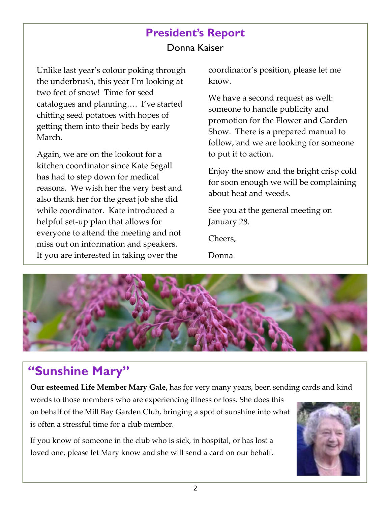### **President's Report**  Donna Kaiser

Unlike last year's colour poking through the underbrush, this year I'm looking at two feet of snow! Time for seed catalogues and planning…. I've started chitting seed potatoes with hopes of getting them into their beds by early March.

Again, we are on the lookout for a kitchen coordinator since Kate Segall has had to step down for medical reasons. We wish her the very best and also thank her for the great job she did while coordinator. Kate introduced a helpful set‐up plan that allows for everyone to attend the meeting and not miss out on information and speakers. If you are interested in taking over the

coordinator's position, please let me know.

We have a second request as well: someone to handle publicity and promotion for the Flower and Garden Show. There is a prepared manual to follow, and we are looking for someone to put it to action.

Enjoy the snow and the bright crisp cold for soon enough we will be complaining about heat and weeds.

See you at the general meeting on January 28.

Cheers,

Donna



## **"Sunshine Mary"**

**Our esteemed Life Member Mary Gale,** has for very many years, been sending cards and kind

words to those members who are experiencing illness or loss. She does this on behalf of the Mill Bay Garden Club, bringing a spot of sunshine into what is often a stressful time for a club member.

If you know of someone in the club who is sick, in hospital, or has lost a loved one, please let Mary know and she will send a card on our behalf.

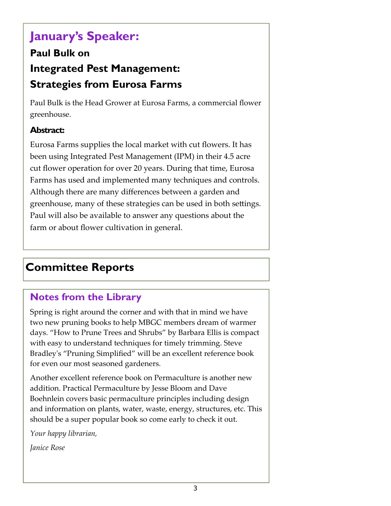## **January's Speaker:**

### **Paul Bulk on Integrated Pest Management: Strategies from Eurosa Farms**

Paul Bulk is the Head Grower at Eurosa Farms, a commercial flower greenhouse.

#### **Abstract:**

Eurosa Farms supplies the local market with cut flowers. It has been using Integrated Pest Management (IPM) in their 4.5 acre cut flower operation for over 20 years. During that time, Eurosa Farms has used and implemented many techniques and controls. Although there are many differences between a garden and greenhouse, many of these strategies can be used in both settings. Paul will also be available to answer any questions about the farm or about flower cultivation in general.

### **Committee Reports**

### **Notes from the Library**

Spring is right around the corner and with that in mind we have two new pruning books to help MBGC members dream of warmer days. "How to Prune Trees and Shrubs" by Barbara Ellis is compact with easy to understand techniques for timely trimming. Steve Bradley's "Pruning Simplified" will be an excellent reference book for even our most seasoned gardeners.

Another excellent reference book on Permaculture is another new addition. Practical Permaculture by Jesse Bloom and Dave Boehnlein covers basic permaculture principles including design and information on plants, water, waste, energy, structures, etc. This should be a super popular book so come early to check it out.

*Your happy librarian,* 

*Janice Rose*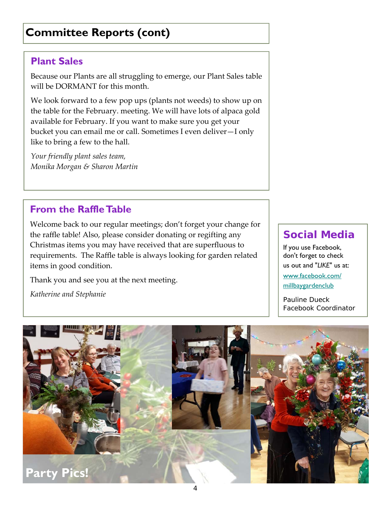### **Committee Reports (cont)**

### **Plant Sales**

Because our Plants are all struggling to emerge, our Plant Sales table will be DORMANT for this month.

We look forward to a few pop ups (plants not weeds) to show up on the table for the February. meeting. We will have lots of alpaca gold available for February. If you want to make sure you get your bucket you can email me or call. Sometimes I even deliver—I only like to bring a few to the hall.

*Your friendly plant sales team, Monika Morgan & Sharon Martin* 

### **From the Raffle Table**

Welcome back to our regular meetings; don't forget your change for the raffle table! Also, please consider donating or regifting any Christmas items you may have received that are superfluous to requirements. The Raffle table is always looking for garden related items in good condition.

Thank you and see you at the next meeting.

*Katherine and Stephanie* 

### **Social Media**

If you use Facebook, don't forget to check us out and "*LIKE*" us at: www.facebook.com/ millbaygardenclub

*Pauline Dueck Facebook Coordinator*

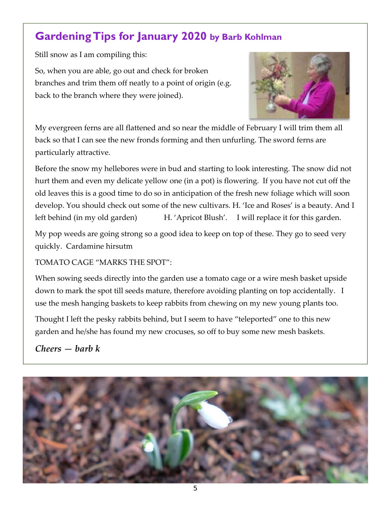### **Gardening Tips for January 2020 by Barb Kohlman**

Still snow as I am compiling this:

So, when you are able, go out and check for broken branches and trim them off neatly to a point of origin (e.g. back to the branch where they were joined).



My evergreen ferns are all flattened and so near the middle of February I will trim them all back so that I can see the new fronds forming and then unfurling. The sword ferns are particularly attractive.

Before the snow my hellebores were in bud and starting to look interesting. The snow did not hurt them and even my delicate yellow one (in a pot) is flowering. If you have not cut off the old leaves this is a good time to do so in anticipation of the fresh new foliage which will soon develop. You should check out some of the new cultivars. H. 'Ice and Roses' is a beauty. And I left behind (in my old garden) H. 'Apricot Blush'. I will replace it for this garden.

My pop weeds are going strong so a good idea to keep on top of these. They go to seed very quickly. Cardamine hirsutm

TOMATO CAGE "MARKS THE SPOT":

When sowing seeds directly into the garden use a tomato cage or a wire mesh basket upside down to mark the spot till seeds mature, therefore avoiding planting on top accidentally. I use the mesh hanging baskets to keep rabbits from chewing on my new young plants too.

Thought I left the pesky rabbits behind, but I seem to have "teleported" one to this new garden and he/she has found my new crocuses, so off to buy some new mesh baskets.

*Cheers — barb k* 

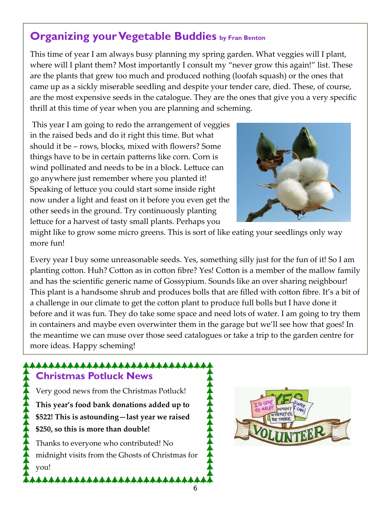### **Organizing your Vegetable Buddies by Fran Benton**

This time of year I am always busy planning my spring garden. What veggies will I plant, where will I plant them? Most importantly I consult my "never grow this again!" list. These are the plants that grew too much and produced nothing (loofah squash) or the ones that came up as a sickly miserable seedling and despite your tender care, died. These, of course, are the most expensive seeds in the catalogue. They are the ones that give you a very specific thrill at this time of year when you are planning and scheming.

 This year I am going to redo the arrangement of veggies in the raised beds and do it right this time. But what should it be – rows, blocks, mixed with flowers? Some things have to be in certain patterns like corn. Corn is wind pollinated and needs to be in a block. Lettuce can go anywhere just remember where you planted it! Speaking of lettuce you could start some inside right now under a light and feast on it before you even get the other seeds in the ground. Try continuously planting lettuce for a harvest of tasty small plants. Perhaps you



might like to grow some micro greens. This is sort of like eating your seedlings only way more fun!

Every year I buy some unreasonable seeds. Yes, something silly just for the fun of it! So I am planting cotton. Huh? Cotton as in cotton fibre? Yes! Cotton is a member of the mallow family and has the scientific generic name of Gossypium. Sounds like an over sharing neighbour! This plant is a handsome shrub and produces bolls that are filled with cotton fibre. It's a bit of a challenge in our climate to get the cotton plant to produce full bolls but I have done it before and it was fun. They do take some space and need lots of water. I am going to try them in containers and maybe even overwinter them in the garage but we'll see how that goes! In the meantime we can muse over those seed catalogues or take a trip to the garden centre for more ideas. Happy scheming!

#### \*\*\*\*\*\*\*\*\*\*\*\*\*\*\*\*\*\*\*\*\*\*\*\*\*\* **Christmas Potluck News**

Very good news from the Christmas Potluck! **This year's food bank donations added up to \$522! This is astounding—last year we raised \$250, so this is more than double!** 

Thanks to everyone who contributed! No midnight visits from the Ghosts of Christmas for you!

\*\*\*\*\*\*\*\*\*\*\*\*\*\*\*\*\*